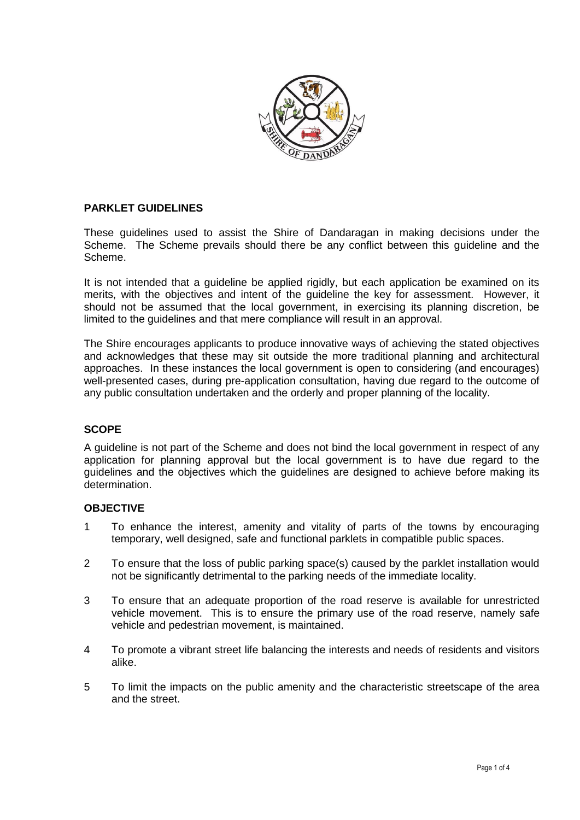

### **PARKLET GUIDELINES**

These guidelines used to assist the Shire of Dandaragan in making decisions under the Scheme. The Scheme prevails should there be any conflict between this guideline and the Scheme.

It is not intended that a guideline be applied rigidly, but each application be examined on its merits, with the objectives and intent of the guideline the key for assessment. However, it should not be assumed that the local government, in exercising its planning discretion, be limited to the guidelines and that mere compliance will result in an approval.

The Shire encourages applicants to produce innovative ways of achieving the stated objectives and acknowledges that these may sit outside the more traditional planning and architectural approaches. In these instances the local government is open to considering (and encourages) well-presented cases, during pre-application consultation, having due regard to the outcome of any public consultation undertaken and the orderly and proper planning of the locality.

### **SCOPE**

A guideline is not part of the Scheme and does not bind the local government in respect of any application for planning approval but the local government is to have due regard to the guidelines and the objectives which the guidelines are designed to achieve before making its determination.

### **OBJECTIVE**

- 1 To enhance the interest, amenity and vitality of parts of the towns by encouraging temporary, well designed, safe and functional parklets in compatible public spaces.
- 2 To ensure that the loss of public parking space(s) caused by the parklet installation would not be significantly detrimental to the parking needs of the immediate locality.
- 3 To ensure that an adequate proportion of the road reserve is available for unrestricted vehicle movement. This is to ensure the primary use of the road reserve, namely safe vehicle and pedestrian movement, is maintained.
- 4 To promote a vibrant street life balancing the interests and needs of residents and visitors alike.
- 5 To limit the impacts on the public amenity and the characteristic streetscape of the area and the street.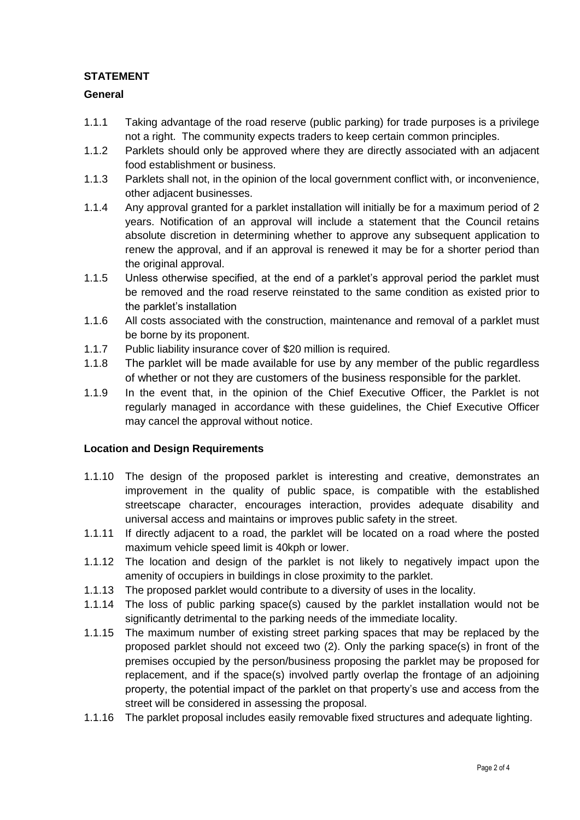# **STATEMENT**

### **General**

- 1.1.1 Taking advantage of the road reserve (public parking) for trade purposes is a privilege not a right. The community expects traders to keep certain common principles.
- 1.1.2 Parklets should only be approved where they are directly associated with an adjacent food establishment or business.
- 1.1.3 Parklets shall not, in the opinion of the local government conflict with, or inconvenience, other adjacent businesses.
- 1.1.4 Any approval granted for a parklet installation will initially be for a maximum period of 2 years. Notification of an approval will include a statement that the Council retains absolute discretion in determining whether to approve any subsequent application to renew the approval, and if an approval is renewed it may be for a shorter period than the original approval.
- 1.1.5 Unless otherwise specified, at the end of a parklet's approval period the parklet must be removed and the road reserve reinstated to the same condition as existed prior to the parklet's installation
- 1.1.6 All costs associated with the construction, maintenance and removal of a parklet must be borne by its proponent.
- 1.1.7 Public liability insurance cover of \$20 million is required.
- 1.1.8 The parklet will be made available for use by any member of the public regardless of whether or not they are customers of the business responsible for the parklet.
- 1.1.9 In the event that, in the opinion of the Chief Executive Officer, the Parklet is not regularly managed in accordance with these guidelines, the Chief Executive Officer may cancel the approval without notice.

## **Location and Design Requirements**

- 1.1.10 The design of the proposed parklet is interesting and creative, demonstrates an improvement in the quality of public space, is compatible with the established streetscape character, encourages interaction, provides adequate disability and universal access and maintains or improves public safety in the street.
- 1.1.11 If directly adjacent to a road, the parklet will be located on a road where the posted maximum vehicle speed limit is 40kph or lower.
- 1.1.12 The location and design of the parklet is not likely to negatively impact upon the amenity of occupiers in buildings in close proximity to the parklet.
- 1.1.13 The proposed parklet would contribute to a diversity of uses in the locality.
- 1.1.14 The loss of public parking space(s) caused by the parklet installation would not be significantly detrimental to the parking needs of the immediate locality.
- 1.1.15 The maximum number of existing street parking spaces that may be replaced by the proposed parklet should not exceed two (2). Only the parking space(s) in front of the premises occupied by the person/business proposing the parklet may be proposed for replacement, and if the space(s) involved partly overlap the frontage of an adjoining property, the potential impact of the parklet on that property's use and access from the street will be considered in assessing the proposal.
- 1.1.16 The parklet proposal includes easily removable fixed structures and adequate lighting.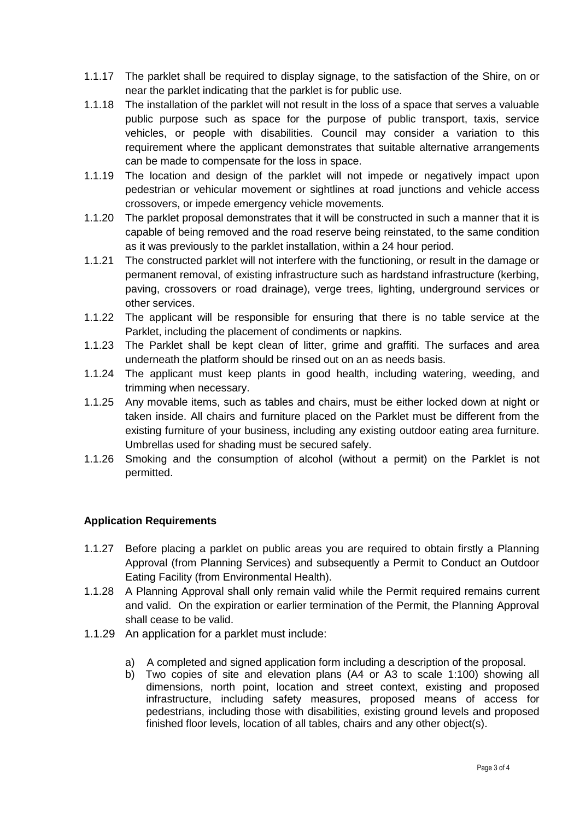- 1.1.17 The parklet shall be required to display signage, to the satisfaction of the Shire, on or near the parklet indicating that the parklet is for public use.
- 1.1.18 The installation of the parklet will not result in the loss of a space that serves a valuable public purpose such as space for the purpose of public transport, taxis, service vehicles, or people with disabilities. Council may consider a variation to this requirement where the applicant demonstrates that suitable alternative arrangements can be made to compensate for the loss in space.
- 1.1.19 The location and design of the parklet will not impede or negatively impact upon pedestrian or vehicular movement or sightlines at road junctions and vehicle access crossovers, or impede emergency vehicle movements.
- 1.1.20 The parklet proposal demonstrates that it will be constructed in such a manner that it is capable of being removed and the road reserve being reinstated, to the same condition as it was previously to the parklet installation, within a 24 hour period.
- 1.1.21 The constructed parklet will not interfere with the functioning, or result in the damage or permanent removal, of existing infrastructure such as hardstand infrastructure (kerbing, paving, crossovers or road drainage), verge trees, lighting, underground services or other services.
- 1.1.22 The applicant will be responsible for ensuring that there is no table service at the Parklet, including the placement of condiments or napkins.
- 1.1.23 The Parklet shall be kept clean of litter, grime and graffiti. The surfaces and area underneath the platform should be rinsed out on an as needs basis.
- 1.1.24 The applicant must keep plants in good health, including watering, weeding, and trimming when necessary.
- 1.1.25 Any movable items, such as tables and chairs, must be either locked down at night or taken inside. All chairs and furniture placed on the Parklet must be different from the existing furniture of your business, including any existing outdoor eating area furniture. Umbrellas used for shading must be secured safely.
- 1.1.26 Smoking and the consumption of alcohol (without a permit) on the Parklet is not permitted.

## **Application Requirements**

- 1.1.27 Before placing a parklet on public areas you are required to obtain firstly a Planning Approval (from Planning Services) and subsequently a Permit to Conduct an Outdoor Eating Facility (from Environmental Health).
- 1.1.28 A Planning Approval shall only remain valid while the Permit required remains current and valid. On the expiration or earlier termination of the Permit, the Planning Approval shall cease to be valid.
- 1.1.29 An application for a parklet must include:
	- a) A completed and signed application form including a description of the proposal.
	- b) Two copies of site and elevation plans (A4 or A3 to scale 1:100) showing all dimensions, north point, location and street context, existing and proposed infrastructure, including safety measures, proposed means of access for pedestrians, including those with disabilities, existing ground levels and proposed finished floor levels, location of all tables, chairs and any other object(s).